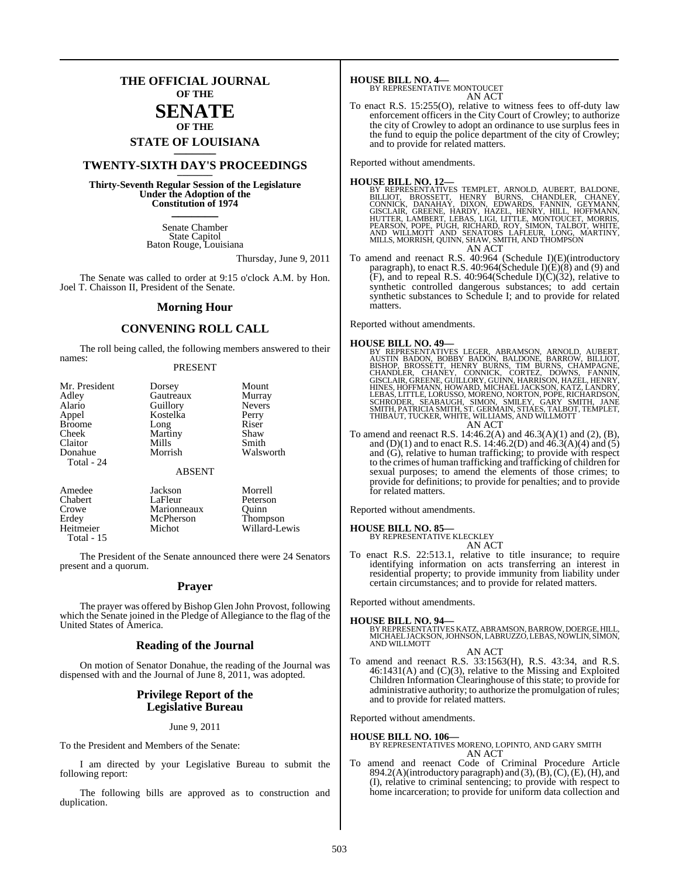## **THE OFFICIAL JOURNAL OF THE**

### **SENATE OF THE**

**STATE OF LOUISIANA \_\_\_\_\_\_\_**

## **TWENTY-SIXTH DAY'S PROCEEDINGS \_\_\_\_\_\_\_**

**Thirty-Seventh Regular Session of the Legislature Under the Adoption of the Constitution of 1974 \_\_\_\_\_\_\_**

> Senate Chamber State Capitol Baton Rouge, Louisiana

> > Thursday, June 9, 2011

The Senate was called to order at 9:15 o'clock A.M. by Hon. Joel T. Chaisson II, President of the Senate.

#### **Morning Hour**

#### **CONVENING ROLL CALL**

The roll being called, the following members answered to their names:

#### PRESENT

| Mr. President<br>Adley<br>Alario<br>Appel<br><b>Broome</b><br>Cheek<br>Claitor<br>Donahue | Dorsey<br>Gautreaux<br>Guillory<br>Kostelka<br>Long<br>Martiny<br>Mills<br>Morrish | Mount<br>Murray<br><b>Nevers</b><br>Perry<br>Riser<br>Shaw<br>Smith<br>Walsworth |
|-------------------------------------------------------------------------------------------|------------------------------------------------------------------------------------|----------------------------------------------------------------------------------|
| Total - 24                                                                                | <b>ABSENT</b>                                                                      |                                                                                  |
| $\sim$ $\sim$                                                                             |                                                                                    | <b>11.</b><br>. .                                                                |

| Amedee     | Jackson     | Morrell         |
|------------|-------------|-----------------|
| Chabert    | LaFleur     | Peterson        |
| Crowe      | Marionneaux | Ouinn           |
| Erdey      | McPherson   | <b>Thompson</b> |
| Heitmeier  | Michot      | Willard-Lewis   |
| Total - 15 |             |                 |

The President of the Senate announced there were 24 Senators present and a quorum.

#### **Prayer**

The prayer was offered by Bishop Glen John Provost, following which the Senate joined in the Pledge of Allegiance to the flag of the United States of America.

#### **Reading of the Journal**

On motion of Senator Donahue, the reading of the Journal was dispensed with and the Journal of June 8, 2011, was adopted.

#### **Privilege Report of the Legislative Bureau**

June 9, 2011

To the President and Members of the Senate:

I am directed by your Legislative Bureau to submit the following report:

The following bills are approved as to construction and duplication.

**HOUSE BILL NO. 4—** BY REPRESENTATIVE MONTOUCET AN ACT

To enact R.S. 15:255(O), relative to witness fees to off-duty law enforcement officers in the City Court of Crowley; to authorize the city of Crowley to adopt an ordinance to use surplus fees in the fund to equip the police department of the city of Crowley; and to provide for related matters.

Reported without amendments.

#### **HOUSE BILL NO. 12—**

- BY REPRESENTATIVES TEMPLET, ARNOLD, AUBERT, BALDONE,<br>BILLIOT, BROSSETT, HENRY BURNS, CHANDLER, CHANEY,<br>CONNICK, DANAHAY, DIXON, EDWARDS, FANNIN, GEYMANY,<br>GISCLAIR, GREENE, HARDY, HAZEL, HENRY, HILL, HOFFMANN,<br>HUTTER, LAMBE AN ACT
- To amend and reenact R.S. 40:964 (Schedule I)(E)(introductory paragraph), to enact R.S. 40:964(Schedule I)(E)(8) and (9) and  $(F)$ , and to repeal R.S. 40:964(Schedule I) $(\hat{C})(32)$ , relative to synthetic controlled dangerous substances; to add certain synthetic substances to Schedule I; and to provide for related matters.

Reported without amendments.

#### **HOUSE BILL NO. 49—**

- BY REPRESENTATIVES LEGER, ABRAMSON, ARNOLD, AUBERT,<br>AUSTIN BADON, BOBBY BADON, BALDONE, BARNOW, BILLIOT,<br>BISHOP, BROSSETT, HENRY BURNS, TIM BURNS, CHAMPAGNE,<br>CHANDLER, CHANEY, CONNICK, CORTEZ, DOWNS, FANNIN,<br>GISCLAIR, GREE AN ACT
- To amend and reenact R.S. 14:46.2(A) and 46.3(A)(1) and (2), (B), and (D)(1) and to enact R.S. 14:46.2(D) and 46.3(A)(4) and (5) and (G), relative to human trafficking; to provide with respect to the crimes of human trafficking and trafficking of children for sexual purposes; to amend the elements of those crimes; to provide for definitions; to provide for penalties; and to provide for related matters.

Reported without amendments.

**HOUSE BILL NO. 85—** BY REPRESENTATIVE KLECKLEY AN ACT

To enact R.S. 22:513.1, relative to title insurance; to require identifying information on acts transferring an interest in residential property; to provide immunity from liability under certain circumstances; and to provide for related matters.

Reported without amendments.

#### **HOUSE BILL NO. 94—**

BY REPRESENTATIVES KATZ, ABRAMSON, BARROW, DOERGE, HILL, MICHAELJACKSON,JOHNSON,LABRUZZO,LEBAS, NOWLIN, SIMON, AND WILLMOTT AN ACT

To amend and reenact R.S. 33:1563(H), R.S. 43:34, and R.S. 46:1431(A) and (C)(3), relative to the Missing and Exploited Children Information Clearinghouse of thisstate; to provide for administrative authority; to authorize the promulgation of rules; and to provide for related matters.

Reported without amendments.

#### **HOUSE BILL NO. 106—**

BY REPRESENTATIVES MORENO, LOPINTO, AND GARY SMITH AN ACT

To amend and reenact Code of Criminal Procedure Article 894.2(A)(introductory paragraph) and (3), (B), (C), (E), (H), and (I), relative to criminal sentencing; to provide with respect to home incarceration; to provide for uniform data collection and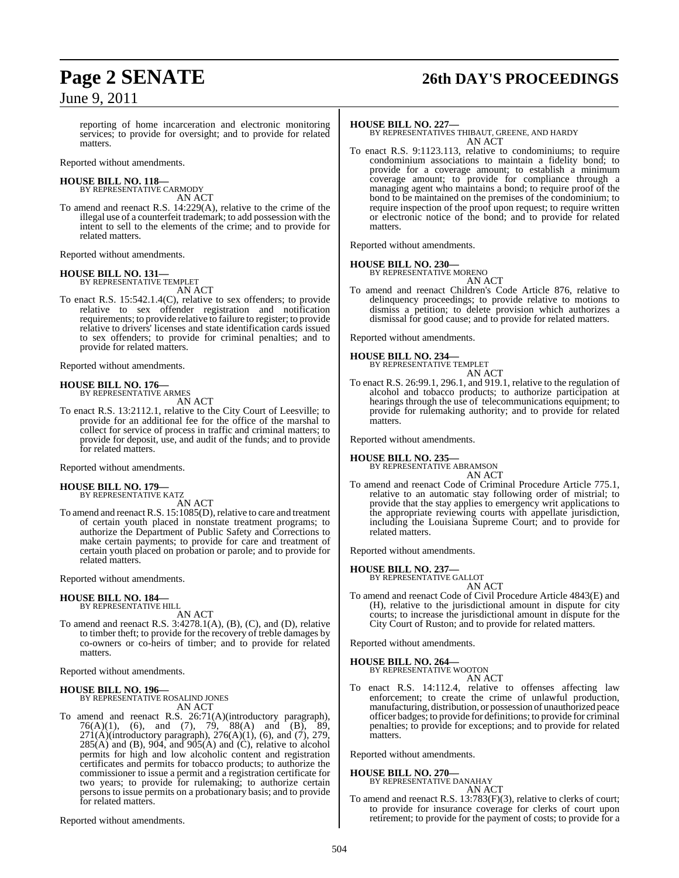## June 9, 2011

# **Page 2 SENATE 26th DAY'S PROCEEDINGS**

reporting of home incarceration and electronic monitoring services; to provide for oversight; and to provide for related matters.

Reported without amendments.

#### **HOUSE BILL NO. 118—** BY REPRESENTATIVE CARMODY

AN ACT To amend and reenact R.S. 14:229(A), relative to the crime of the illegal use of a counterfeit trademark; to add possession with the intent to sell to the elements of the crime; and to provide for related matters.

Reported without amendments.

# **HOUSE BILL NO. 131—** BY REPRESENTATIVE TEMPLET

AN ACT

To enact R.S. 15:542.1.4(C), relative to sex offenders; to provide relative to sex offender registration and notification requirements; to provide relative to failure to register; to provide relative to drivers' licenses and state identification cards issued to sex offenders; to provide for criminal penalties; and to provide for related matters.

Reported without amendments.

#### **HOUSE BILL NO. 176—**

BY REPRESENTATIVE ARMES

AN ACT

To enact R.S. 13:2112.1, relative to the City Court of Leesville; to provide for an additional fee for the office of the marshal to collect for service of process in traffic and criminal matters; to provide for deposit, use, and audit of the funds; and to provide for related matters.

Reported without amendments.

## **HOUSE BILL NO. 179—** BY REPRESENTATIVE KATZ

AN ACT

To amend and reenact R.S. 15:1085(D), relative to care and treatment of certain youth placed in nonstate treatment programs; to authorize the Department of Public Safety and Corrections to make certain payments; to provide for care and treatment of certain youth placed on probation or parole; and to provide for related matters.

Reported without amendments.

#### **HOUSE BILL NO. 184—**

BY REPRESENTATIVE HILL AN ACT

To amend and reenact R.S. 3:4278.1(A), (B), (C), and (D), relative to timber theft; to provide for the recovery of treble damages by co-owners or co-heirs of timber; and to provide for related matters.

Reported without amendments.

## **HOUSE BILL NO. 196—** BY REPRESENTATIVE ROSALIND JONES

AN ACT

To amend and reenact R.S. 26:71(A)(introductory paragraph), 76(A)(1), (6), and (7), 79, 88(A) and (B), 89,  $271(A)$ (introductory paragraph),  $276(A)(1)$ , (6), and (7), 279,  $285(A)$  and (B), 904, and 905(A) and (C), relative to alcohol permits for high and low alcoholic content and registration certificates and permits for tobacco products; to authorize the commissioner to issue a permit and a registration certificate for two years; to provide for rulemaking; to authorize certain persons to issue permits on a probationary basis; and to provide for related matters.

Reported without amendments.

#### **HOUSE BILL NO. 227—**

BY REPRESENTATIVES THIBAUT, GREENE, AND HARDY AN ACT

To enact R.S. 9:1123.113, relative to condominiums; to require condominium associations to maintain a fidelity bond; to provide for a coverage amount; to establish a minimum coverage amount; to provide for compliance through a managing agent who maintains a bond; to require proof of the bond to be maintained on the premises of the condominium; to require inspection of the proof upon request; to require written or electronic notice of the bond; and to provide for related matters.

Reported without amendments.

#### **HOUSE BILL NO. 230—**

BY REPRESENTATIVE MORENO AN ACT

To amend and reenact Children's Code Article 876, relative to delinquency proceedings; to provide relative to motions to dismiss a petition; to delete provision which authorizes a dismissal for good cause; and to provide for related matters.

Reported without amendments.

#### **HOUSE BILL NO. 234—**

BY REPRESENTATIVE TEMPLET AN ACT

To enact R.S. 26:99.1, 296.1, and 919.1, relative to the regulation of alcohol and tobacco products; to authorize participation at hearings through the use of telecommunications equipment; to provide for rulemaking authority; and to provide for related matters.

Reported without amendments.

## **HOUSE BILL NO. 235—** BY REPRESENTATIVE ABRAMSON

AN ACT

To amend and reenact Code of Criminal Procedure Article 775.1, relative to an automatic stay following order of mistrial; to provide that the stay applies to emergency writ applications to the appropriate reviewing courts with appellate jurisdiction, including the Louisiana Supreme Court; and to provide for related matters.

Reported without amendments.

## **HOUSE BILL NO. 237—** BY REPRESENTATIVE GALLOT

AN ACT

To amend and reenact Code of Civil Procedure Article 4843(E) and (H), relative to the jurisdictional amount in dispute for city courts; to increase the jurisdictional amount in dispute for the City Court of Ruston; and to provide for related matters.

Reported without amendments.

#### **HOUSE BILL NO. 264—**

BY REPRESENTATIVE WOOTON AN ACT

To enact R.S. 14:112.4, relative to offenses affecting law enforcement; to create the crime of unlawful production, manufacturing, distribution, or possession of unauthorized peace officer badges; to provide for definitions; to provide for criminal penalties; to provide for exceptions; and to provide for related matters.

Reported without amendments.

#### **HOUSE BILL NO. 270—**

BY REPRESENTATIVE DANAHAY AN ACT

To amend and reenact R.S. 13:783(F)(3), relative to clerks of court; to provide for insurance coverage for clerks of court upon retirement; to provide for the payment of costs; to provide for a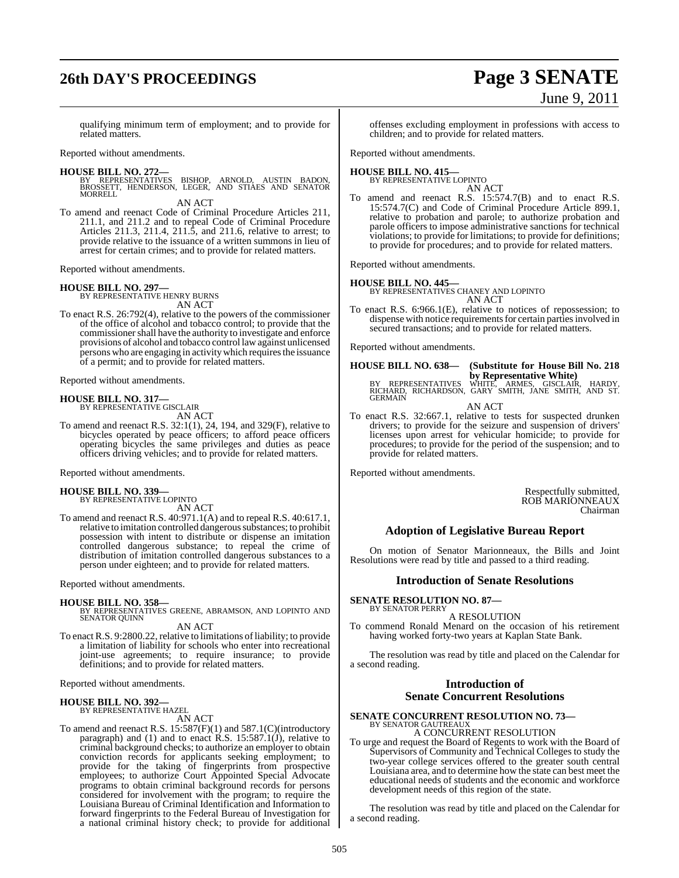# **26th DAY'S PROCEEDINGS Page 3 SENATE**

# June 9, 2011

qualifying minimum term of employment; and to provide for related matters.

Reported without amendments.

**HOUSE BILL NO. 272—** BY REPRESENTATIVES BISHOP, ARNOLD, AUSTIN BADON, BROSSETT, HENDERSON, LEGER, AND STIAES AND SENATOR MORRELL

AN ACT

To amend and reenact Code of Criminal Procedure Articles 211, 211.1, and 211.2 and to repeal Code of Criminal Procedure Articles 211.3, 211.4, 211.5, and 211.6, relative to arrest; to provide relative to the issuance of a written summons in lieu of arrest for certain crimes; and to provide for related matters.

Reported without amendments.

# **HOUSE BILL NO. 297—** BY REPRESENTATIVE HENRY BURNS

AN ACT

To enact R.S. 26:792(4), relative to the powers of the commissioner of the office of alcohol and tobacco control; to provide that the commissioner shall have the authority to investigate and enforce provisions of alcohol and tobacco control law against unlicensed persons who are engaging in activity which requires the issuance of a permit; and to provide for related matters.

Reported without amendments.

# **HOUSE BILL NO. 317—** BY REPRESENTATIVE GISCLAIR

AN ACT To amend and reenact R.S.  $32:1(1)$ , 24, 194, and 329(F), relative to bicycles operated by peace officers; to afford peace officers operating bicycles the same privileges and duties as peace officers driving vehicles; and to provide for related matters.

Reported without amendments.

#### **HOUSE BILL NO. 339—** BY REPRESENTATIVE LOPINTO

AN ACT

To amend and reenact R.S. 40:971.1(A) and to repeal R.S. 40:617.1, relative to imitation controlled dangerous substances; to prohibit possession with intent to distribute or dispense an imitation controlled dangerous substance; to repeal the crime of distribution of imitation controlled dangerous substances to a person under eighteen; and to provide for related matters.

Reported without amendments.

#### **HOUSE BILL NO. 358—**

BY REPRESENTATIVES GREENE, ABRAMSON, AND LOPINTO AND SENATOR QUINN

AN ACT

To enact R.S. 9:2800.22, relative to limitations of liability; to provide a limitation of liability for schools who enter into recreational joint-use agreements; to require insurance; to provide definitions; and to provide for related matters.

Reported without amendments.

#### **HOUSE BILL NO. 392—** BY REPRESENTATIVE HAZEL

AN ACT

To amend and reenact R.S. 15:587(F)(1) and 587.1(C)(introductory paragraph) and (1) and to enact  $R.S. 15:587.1(j)$ , relative to criminal background checks; to authorize an employer to obtain conviction records for applicants seeking employment; to provide for the taking of fingerprints from prospective employees; to authorize Court Appointed Special Advocate programs to obtain criminal background records for persons considered for involvement with the program; to require the Louisiana Bureau of Criminal Identification and Information to forward fingerprints to the Federal Bureau of Investigation for a national criminal history check; to provide for additional offenses excluding employment in professions with access to children; and to provide for related matters.

Reported without amendments.

#### **HOUSE BILL NO. 415—** BY REPRESENTATIVE LOPINTO

AN ACT

To amend and reenact R.S. 15:574.7(B) and to enact R.S. 15:574.7(C) and Code of Criminal Procedure Article 899.1, relative to probation and parole; to authorize probation and parole officers to impose administrative sanctions for technical violations; to provide for limitations; to provide for definitions; to provide for procedures; and to provide for related matters.

Reported without amendments.

#### **HOUSE BILL NO. 445—**

- BY REPRESENTATIVES CHANEY AND LOPINTO AN ACT
- To enact R.S. 6:966.1(E), relative to notices of repossession; to dispense with notice requirements for certain parties involved in secured transactions; and to provide for related matters.

Reported without amendments.

## **HOUSE BILL NO. 638— (Substitute for House Bill No. 218 by Representative White)<br>RICHARD, RICHARDSON, GARY SMITH, JANE SMITH, AND ST.<br>GERMAIN** AN ACT

To enact R.S. 32:667.1, relative to tests for suspected drunken drivers; to provide for the seizure and suspension of drivers' licenses upon arrest for vehicular homicide; to provide for procedures; to provide for the period of the suspension; and to provide for related matters.

Reported without amendments.

Respectfully submitted, ROB MARIONNEAUX Chairman

#### **Adoption of Legislative Bureau Report**

On motion of Senator Marionneaux, the Bills and Joint Resolutions were read by title and passed to a third reading.

#### **Introduction of Senate Resolutions**

**SENATE RESOLUTION NO. 87—** BY SENATOR PERRY

A RESOLUTION

To commend Ronald Menard on the occasion of his retirement having worked forty-two years at Kaplan State Bank.

The resolution was read by title and placed on the Calendar for a second reading.

#### **Introduction of Senate Concurrent Resolutions**

#### **SENATE CONCURRENT RESOLUTION NO. 73—**

BY SENATOR GAUTREAUX A CONCURRENT RESOLUTION

To urge and request the Board of Regents to work with the Board of Supervisors of Community and Technical Colleges to study the two-year college services offered to the greater south central Louisiana area, and to determine how the state can best meet the educational needs of students and the economic and workforce development needs of this region of the state.

The resolution was read by title and placed on the Calendar for a second reading.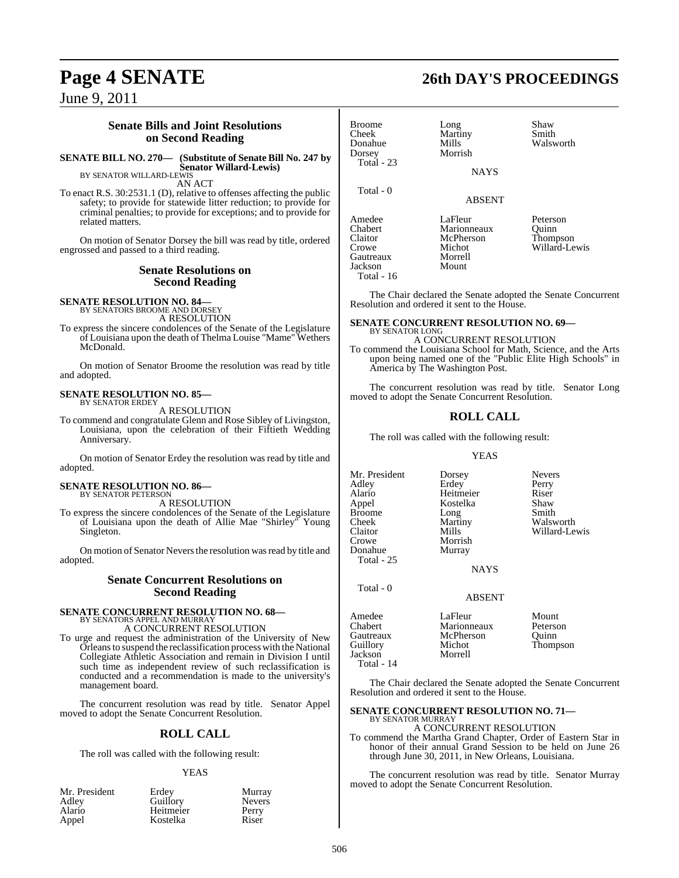June 9, 2011

#### **Senate Bills and Joint Resolutions on Second Reading**

**SENATE BILL NO. 270— (Substitute of Senate Bill No. 247 by Senator Willard-Lewis)** BY SENATOR WILLARD-LEWIS

AN ACT

To enact R.S. 30:2531.1 (D), relative to offenses affecting the public safety; to provide for statewide litter reduction; to provide for criminal penalties; to provide for exceptions; and to provide for related matters.

On motion of Senator Dorsey the bill was read by title, ordered engrossed and passed to a third reading.

#### **Senate Resolutions on Second Reading**

**SENATE RESOLUTION NO. 84—** BY SENATORS BROOME AND DORSEY

A RESOLUTION

To express the sincere condolences of the Senate of the Legislature of Louisiana upon the death of Thelma Louise "Mame" Wethers McDonald.

On motion of Senator Broome the resolution was read by title and adopted.

#### **SENATE RESOLUTION NO. 85—** BY SENATOR ERDEY

A RESOLUTION

To commend and congratulate Glenn and Rose Sibley of Livingston, Louisiana, upon the celebration of their Fiftieth Wedding Anniversary.

On motion of Senator Erdey the resolution was read by title and adopted.

## **SENATE RESOLUTION NO. 86—** BY SENATOR PETERSON

A RESOLUTION

To express the sincere condolences of the Senate of the Legislature of Louisiana upon the death of Allie Mae "Shirley" Young Singleton.

On motion of Senator Nevers the resolution was read by title and adopted.

#### **Senate Concurrent Resolutions on Second Reading**

#### **SENATE CONCURRENT RESOLUTION NO. 68—** BY SENATORS APPEL AND MURRAY

A CONCURRENT RESOLUTION

To urge and request the administration of the University of New Orleans to suspend the reclassification process with the National Collegiate Athletic Association and remain in Division I until such time as independent review of such reclassification is conducted and a recommendation is made to the university's management board.

The concurrent resolution was read by title. Senator Appel moved to adopt the Senate Concurrent Resolution.

### **ROLL CALL**

The roll was called with the following result:

#### YEAS

| Mr. President | Erdev     | Murray        |
|---------------|-----------|---------------|
| Adley         | Guillory  | <b>Nevers</b> |
| Alario        | Heitmeier | Perry         |
| Appel         | Kostelka  | Riser         |

## **Page 4 SENATE 26th DAY'S PROCEEDINGS**

Broome Long Shaw<br>Cheek Martiny Smith Cheek Martiny<br>Donahue Mills Mills Walsworth<br>Morrish Dorsey Total - 23 Total - 0 ABSENT Amedee LaFleur Peterson<br>Chabert Marionneaux Ouinn Chabert Marionneaux<br>Claitor McPherson Claitor McPherson Thompson<br>Crowe Michot Willard-Le Gautreaux Morrel<br>Jackson Mount Jackson

Total - 16

Michot Willard-Lewis<br>Morrell

The Chair declared the Senate adopted the Senate Concurrent Resolution and ordered it sent to the House.

**NAYS** 

#### **SENATE CONCURRENT RESOLUTION NO. 69—** BY SENATOR LONG

A CONCURRENT RESOLUTION To commend the Louisiana School for Math, Science, and the Arts upon being named one of the "Public Elite High Schools" in America by The Washington Post.

The concurrent resolution was read by title. Senator Long moved to adopt the Senate Concurrent Resolution.

### **ROLL CALL**

The roll was called with the following result:

#### YEAS

Mr. President Dorsey Nevers<br>Adley Erdey Perry Adley Erdey Perry<br>
Alario Heitmeier Riser Alario Heitmeier Riser Broome Long<br>Cheek Martiny Cheek Martiny Walsworth<br>Claitor Mills Willard-Le Claitor Mills Willard-Lewis<br>
Crowe Morrish World Donahue Total - 25

Total - 0

Kostelka Shaw<br>Long Smith

NAYS

#### ABSENT

Amedee **LaFleur** Mount<br>Chabert Marionneaux Peterson Chabert Marionneaux<br>
Gautreaux McPherson Gautreaux McPherson Quinn<br>Guillory Michot Thomp Michot Thompson<br>Morrell Jackson Total - 14

Morrish<br>Murray

The Chair declared the Senate adopted the Senate Concurrent Resolution and ordered it sent to the House.

#### **SENATE CONCURRENT RESOLUTION NO. 71—** BY SENATOR MURRAY

A CONCURRENT RESOLUTION

To commend the Martha Grand Chapter, Order of Eastern Star in honor of their annual Grand Session to be held on June 26 through June 30, 2011, in New Orleans, Louisiana.

The concurrent resolution was read by title. Senator Murray moved to adopt the Senate Concurrent Resolution.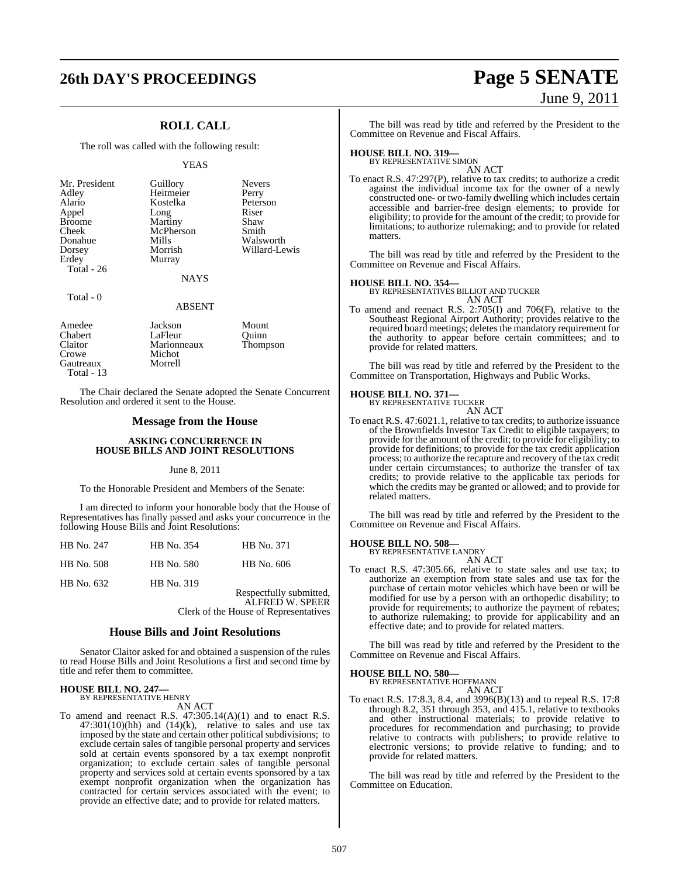# **26th DAY'S PROCEEDINGS Page 5 SENATE**

## **ROLL CALL**

The roll was called with the following result:

#### YEAS

**NAYS** 

#### Total - 0

ABSENT

| Amedee       | Jackson     | Mount    |
|--------------|-------------|----------|
| Chabert      | LaFleur     | Ouinn    |
| Claitor      | Marionneaux | Thompson |
| Crowe        | Michot      |          |
| Gautreaux    | Morrell     |          |
| Total - $13$ |             |          |

The Chair declared the Senate adopted the Senate Concurrent Resolution and ordered it sent to the House.

#### **Message from the House**

#### **ASKING CONCURRENCE IN HOUSE BILLS AND JOINT RESOLUTIONS**

#### June 8, 2011

To the Honorable President and Members of the Senate:

I am directed to inform your honorable body that the House of Representatives has finally passed and asks your concurrence in the following House Bills and Joint Resolutions:

| HB No. 247 | HB No. 354 | HB No. 371       |
|------------|------------|------------------|
| HB No. 508 | HB No. 580 | HB No. 606       |
| HB No. 632 | HB No. 319 | Respectfully sub |

heritted. ALFRED W. SPEER Clerk of the House of Representatives

#### **House Bills and Joint Resolutions**

Senator Claitor asked for and obtained a suspension of the rules to read House Bills and Joint Resolutions a first and second time by title and refer them to committee.

## **HOUSE BILL NO. 247—** BY REPRESENTATIVE HENRY

AN ACT

To amend and reenact R.S. 47:305.14(A)(1) and to enact R.S.  $47:301(10)(hh)$  and  $(14)(k)$ , relative to sales and use tax imposed by the state and certain other political subdivisions; to exclude certain sales of tangible personal property and services sold at certain events sponsored by a tax exempt nonprofit organization; to exclude certain sales of tangible personal property and services sold at certain events sponsored by a tax exempt nonprofit organization when the organization has contracted for certain services associated with the event; to provide an effective date; and to provide for related matters.

# June 9, 2011

The bill was read by title and referred by the President to the Committee on Revenue and Fiscal Affairs.

## **HOUSE BILL NO. 319—** BY REPRESENTATIVE SIMON

AN ACT

To enact R.S. 47:297(P), relative to tax credits; to authorize a credit against the individual income tax for the owner of a newly constructed one- or two-family dwelling which includes certain accessible and barrier-free design elements; to provide for eligibility; to provide for the amount of the credit; to provide for limitations; to authorize rulemaking; and to provide for related matters.

The bill was read by title and referred by the President to the Committee on Revenue and Fiscal Affairs.

#### **HOUSE BILL NO. 354—**

BY REPRESENTATIVES BILLIOT AND TUCKER

AN ACT To amend and reenact R.S. 2:705(I) and 706(F), relative to the Southeast Regional Airport Authority; provides relative to the required board meetings; deletes the mandatory requirement for the authority to appear before certain committees; and to provide for related matters.

The bill was read by title and referred by the President to the Committee on Transportation, Highways and Public Works.

#### **HOUSE BILL NO. 371—** BY REPRESENTATIVE TUCKER

AN ACT

To enact R.S. 47:6021.1, relative to tax credits; to authorize issuance of the Brownfields Investor Tax Credit to eligible taxpayers; to provide for the amount of the credit; to provide for eligibility; to provide for definitions; to provide for the tax credit application process; to authorize the recapture and recovery of the tax credit under certain circumstances; to authorize the transfer of tax credits; to provide relative to the applicable tax periods for which the credits may be granted or allowed; and to provide for related matters.

The bill was read by title and referred by the President to the Committee on Revenue and Fiscal Affairs.

#### **HOUSE BILL NO. 508—** BY REPRESENTATIVE LANDRY

AN ACT

To enact R.S. 47:305.66, relative to state sales and use tax; to authorize an exemption from state sales and use tax for the purchase of certain motor vehicles which have been or will be modified for use by a person with an orthopedic disability; to provide for requirements; to authorize the payment of rebates; to authorize rulemaking; to provide for applicability and an effective date; and to provide for related matters.

The bill was read by title and referred by the President to the Committee on Revenue and Fiscal Affairs.

**HOUSE BILL NO. 580—** BY REPRESENTATIVE HOFFMANN AN ACT

To enact R.S. 17:8.3, 8.4, and 3996(B)(13) and to repeal R.S. 17:8 through 8.2, 351 through 353, and 415.1, relative to textbooks and other instructional materials; to provide relative to procedures for recommendation and purchasing; to provide relative to contracts with publishers; to provide relative to electronic versions; to provide relative to funding; and to provide for related matters.

The bill was read by title and referred by the President to the Committee on Education.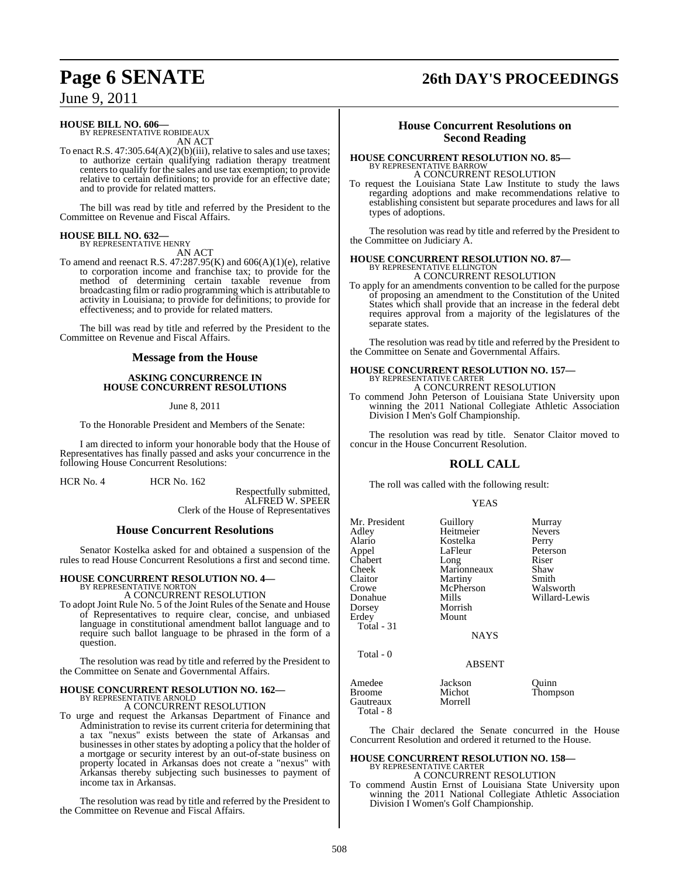## **Page 6 SENATE 26th DAY'S PROCEEDINGS**

June 9, 2011

## **HOUSE BILL NO. 606—** BY REPRESENTATIVE ROBIDEAUX

AN ACT

To enact R.S. 47:305.64(A)(2)(b)(iii), relative to sales and use taxes; to authorize certain qualifying radiation therapy treatment centers to qualify for the sales and use tax exemption; to provide relative to certain definitions; to provide for an effective date; and to provide for related matters.

The bill was read by title and referred by the President to the Committee on Revenue and Fiscal Affairs.

## **HOUSE BILL NO. 632—**

BY REPRESENTATIVE HENRY AN ACT

To amend and reenact R.S.  $47:287.95(K)$  and  $606(A)(1)(e)$ , relative to corporation income and franchise tax; to provide for the method of determining certain taxable revenue from broadcasting film or radio programming which is attributable to activity in Louisiana; to provide for definitions; to provide for effectiveness; and to provide for related matters.

The bill was read by title and referred by the President to the Committee on Revenue and Fiscal Affairs.

#### **Message from the House**

#### **ASKING CONCURRENCE IN HOUSE CONCURRENT RESOLUTIONS**

June 8, 2011

To the Honorable President and Members of the Senate:

I am directed to inform your honorable body that the House of Representatives has finally passed and asks your concurrence in the following House Concurrent Resolutions:

HCR No. 4 HCR No. 162

Respectfully submitted, ALFRED W. SPEER

Clerk of the House of Representatives

#### **House Concurrent Resolutions**

Senator Kostelka asked for and obtained a suspension of the rules to read House Concurrent Resolutions a first and second time.

#### **HOUSE CONCURRENT RESOLUTION NO. 4—**

BY REPRESENTATIVE NORTON A CONCURRENT RESOLUTION

To adopt Joint Rule No. 5 of the Joint Rules of the Senate and House of Representatives to require clear, concise, and unbiased language in constitutional amendment ballot language and to require such ballot language to be phrased in the form of a question.

The resolution was read by title and referred by the President to the Committee on Senate and Governmental Affairs.

#### **HOUSE CONCURRENT RESOLUTION NO. 162—** BY REPRESENTATIVE ARNOLD

A CONCURRENT RESOLUTION

To urge and request the Arkansas Department of Finance and Administration to revise its current criteria for determining that a tax "nexus" exists between the state of Arkansas and businesses in other states by adopting a policy that the holder of a mortgage or security interest by an out-of-state business on property located in Arkansas does not create a "nexus" with Arkansas thereby subjecting such businesses to payment of income tax in Arkansas.

The resolution was read by title and referred by the President to the Committee on Revenue and Fiscal Affairs.

#### **House Concurrent Resolutions on Second Reading**

#### **HOUSE CONCURRENT RESOLUTION NO. 85—** BY REPRESENTATIVE BARROW A CONCURRENT RESOLUTION

To request the Louisiana State Law Institute to study the laws regarding adoptions and make recommendations relative to establishing consistent but separate procedures and laws for all types of adoptions.

The resolution was read by title and referred by the President to the Committee on Judiciary A.

## **HOUSE CONCURRENT RESOLUTION NO. 87—** BY REPRESENTATIVE ELLINGTON

A CONCURRENT RESOLUTION

To apply for an amendments convention to be called for the purpose of proposing an amendment to the Constitution of the United States which shall provide that an increase in the federal debt requires approval from a majority of the legislatures of the separate states.

The resolution was read by title and referred by the President to the Committee on Senate and Governmental Affairs.

## **HOUSE CONCURRENT RESOLUTION NO. 157—** BY REPRESENTATIVE CARTER

A CONCURRENT RESOLUTION

To commend John Peterson of Louisiana State University upon winning the 2011 National Collegiate Athletic Association Division I Men's Golf Championship.

The resolution was read by title. Senator Claitor moved to concur in the House Concurrent Resolution.

## **ROLL CALL**

The roll was called with the following result:

#### YEAS

| Mr. President<br>Adley<br>Alario<br>Appel<br>Chabert<br>Cheek<br>Claitor<br>Crowe<br>Donahue<br>Dorsey<br>Erdey<br>Total - 31<br>Total - 0 | Guillory<br>Heitmeier<br>Kostelka<br>LaFleur<br>Long<br>Marionneaux<br>Martiny<br>McPherson<br>Mills<br>Morrish<br>Mount<br><b>NAYS</b><br><b>ABSENT</b> | Murray<br><b>Nevers</b><br>Perry<br>Peterson<br>Riser<br>Shaw<br>Smith<br>Walsworth<br>Willard-Lewis |
|--------------------------------------------------------------------------------------------------------------------------------------------|----------------------------------------------------------------------------------------------------------------------------------------------------------|------------------------------------------------------------------------------------------------------|
|                                                                                                                                            |                                                                                                                                                          |                                                                                                      |
| Amedee<br>Broome<br>Gautreaux<br>Total - 8                                                                                                 | Jackson<br>Michot<br>Morrell                                                                                                                             | Quinn<br>Thompson                                                                                    |

The Chair declared the Senate concurred in the House Concurrent Resolution and ordered it returned to the House.

## **HOUSE CONCURRENT RESOLUTION NO. 158—**

BY REPRESENTATIVE CARTER A CONCURRENT RESOLUTION

To commend Austin Ernst of Louisiana State University upon winning the 2011 National Collegiate Athletic Association Division I Women's Golf Championship.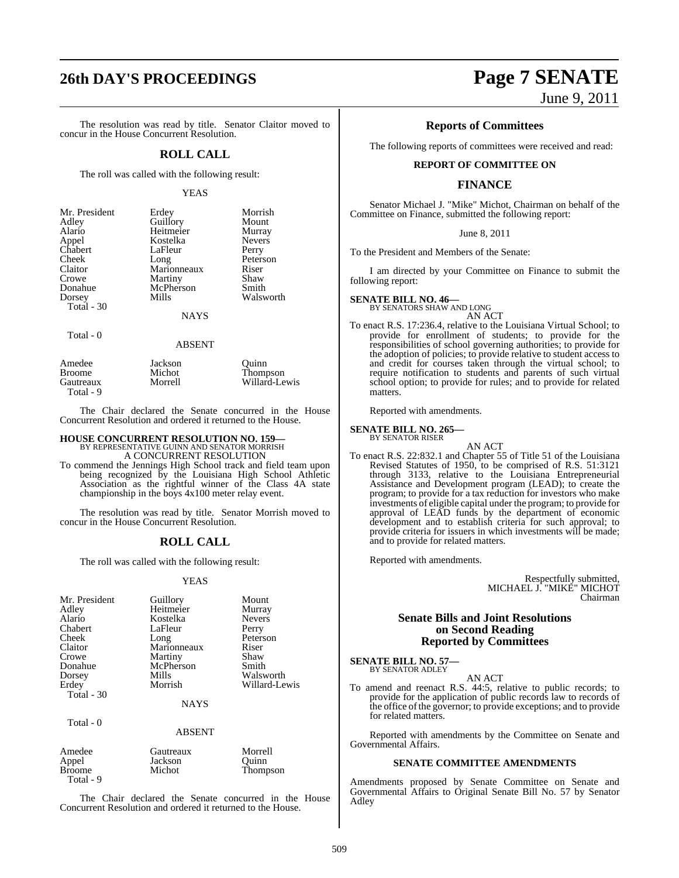## **26th DAY'S PROCEEDINGS Page 7 SENATE**

The resolution was read by title. Senator Claitor moved to concur in the House Concurrent Resolution.

#### **ROLL CALL**

The roll was called with the following result:

#### YEAS

| Mr. President | Erdey                 | Morrish       |
|---------------|-----------------------|---------------|
| Adley         |                       | Mount         |
| Alario        | Guillory<br>Heitmeier | Murray        |
| Appel         | Kostelka              | <b>Nevers</b> |
| Chabert       | LaFleur               | Perry         |
| Cheek         | Long                  | Peterson      |
| Claitor       | Marionneaux           | Riser         |
| Crowe         | Martiny               | Shaw          |
| Donahue       | McPherson             | Smith         |
| Dorsey        | Mills                 | Walsworth     |
| Total - 30    |                       |               |
|               |                       |               |

#### **NAYS**

Total - 0

Total - 9

ABSENT

| Amedee    | Jackson | Ouinn         |
|-----------|---------|---------------|
| Broome    | Michot  | Thompson      |
| Gautreaux | Morrell | Willard-Lewis |
| Total - 9 |         |               |

The Chair declared the Senate concurred in the House Concurrent Resolution and ordered it returned to the House.

#### **HOUSE CONCURRENT RESOLUTION NO. 159—** BY REPRESENTATIVE GUINN AND SENATOR MORRISH A CONCURRENT RESOLUTION

To commend the Jennings High School track and field team upon being recognized by the Louisiana High School Athletic Association as the rightful winner of the Class 4A state championship in the boys 4x100 meter relay event.

The resolution was read by title. Senator Morrish moved to concur in the House Concurrent Resolution.

#### **ROLL CALL**

The roll was called with the following result:

#### YEAS

| Mr. President<br>Adley<br>Alario<br>Chabert<br>Cheek<br>Claitor<br>Crowe<br>Donahue<br>Dorsey<br>Erdey<br>Total $-30$ | Guillory<br>Heitmeier<br>Kostelka<br>LaFleur<br>Long<br>Marionneaux<br>Martiny<br>McPherson<br>Mills<br>Morrish | Mount<br>Murray<br><b>Nevers</b><br>Perry<br>Peterson<br>Riser<br>Shaw<br>Smith<br>Walsworth<br>Willard-Lewis |
|-----------------------------------------------------------------------------------------------------------------------|-----------------------------------------------------------------------------------------------------------------|---------------------------------------------------------------------------------------------------------------|
| Total - 0                                                                                                             | NAYS<br><b>ABSENT</b>                                                                                           |                                                                                                               |
| Amedee<br>Appel<br>Broome                                                                                             | Gautreaux<br>Jackson<br>Michot                                                                                  | Morrell<br>Ouinn<br>Thompson                                                                                  |

The Chair declared the Senate concurred in the House Concurrent Resolution and ordered it returned to the House.

June 9, 2011

#### **Reports of Committees**

The following reports of committees were received and read:

#### **REPORT OF COMMITTEE ON**

#### **FINANCE**

Senator Michael J. "Mike" Michot, Chairman on behalf of the Committee on Finance, submitted the following report:

#### June 8, 2011

To the President and Members of the Senate:

I am directed by your Committee on Finance to submit the following report:

## **SENATE BILL NO. 46—** BY SENATORS SHAW AND LONG

AN ACT To enact R.S. 17:236.4, relative to the Louisiana Virtual School; to provide for enrollment of students; to provide for the responsibilities of school governing authorities; to provide for the adoption of policies; to provide relative to student access to and credit for courses taken through the virtual school; to require notification to students and parents of such virtual school option; to provide for rules; and to provide for related matters.

Reported with amendments.

#### **SENATE BILL NO. 265—** BY SENATOR RISER

AN ACT To enact R.S. 22:832.1 and Chapter 55 of Title 51 of the Louisiana Revised Statutes of 1950, to be comprised of R.S. 51:3121 through 3133, relative to the Louisiana Entrepreneurial Assistance and Development program (LEAD); to create the program; to provide for a tax reduction for investors who make investments of eligible capital under the program; to provide for approval of LEAD funds by the department of economic development and to establish criteria for such approval; to provide criteria for issuers in which investments will be made; and to provide for related matters.

Reported with amendments.

Respectfully submitted, MICHAEL J. "MIKE" MICHOT Chairman

#### **Senate Bills and Joint Resolutions on Second Reading Reported by Committees**

**SENATE BILL NO. 57—** BY SENATOR ADLEY

AN ACT

To amend and reenact R.S. 44:5, relative to public records; to provide for the application of public records law to records of the office of the governor; to provide exceptions; and to provide for related matters.

Reported with amendments by the Committee on Senate and Governmental Affairs.

#### **SENATE COMMITTEE AMENDMENTS**

Amendments proposed by Senate Committee on Senate and Governmental Affairs to Original Senate Bill No. 57 by Senator Adley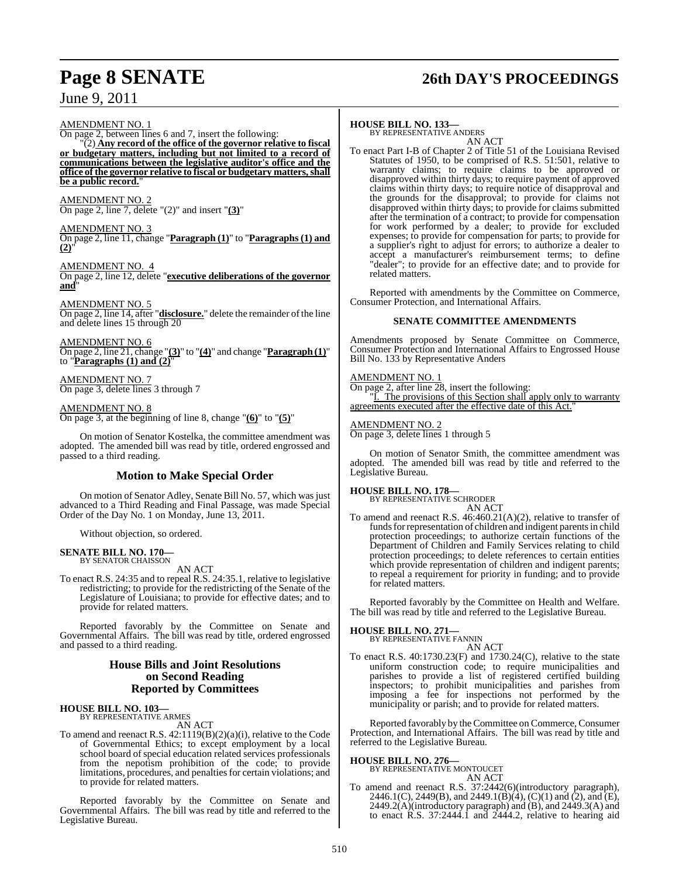# **Page 8 SENATE 26th DAY'S PROCEEDINGS**

June 9, 2011

AMENDMENT NO. 1

On page 2, between lines 6 and 7, insert the following:

"(2) **Any record of the office of the governor relative to fiscal or budgetary matters, including but not limited to a record of communications between the legislative auditor's office and the office of the governor relative to fiscal or budgetary matters,shall be a public record.**"

AMENDMENT NO. 2 On page 2, line 7, delete "(2)" and insert "**(3)**"

AMENDMENT NO. 3

On page 2, line 11, change "**Paragraph (1)**" to "**Paragraphs (1) and**  $(2)$ 

AMENDMENT NO. 4

On page 2, line 12, delete "**executive deliberations of the governor and**"

AMENDMENT NO. 5 On page 2, line 14, after "**disclosure.**" delete the remainder of the line and delete lines 15 through 20

AMENDMENT NO. 6 On page 2, line 21, change "**(3)**" to "**(4)**" and change "**Paragraph (1)**" to "**Paragraphs (1) and (2)**"

AMENDMENT NO. 7 On page 3, delete lines 3 through 7

AMENDMENT NO. 8

On page 3, at the beginning of line 8, change "**(6)**" to "**(5)**"

On motion of Senator Kostelka, the committee amendment was adopted. The amended bill was read by title, ordered engrossed and passed to a third reading.

#### **Motion to Make Special Order**

On motion of Senator Adley, Senate Bill No. 57, which was just advanced to a Third Reading and Final Passage, was made Special Order of the Day No. 1 on Monday, June 13, 2011.

Without objection, so ordered.

#### **SENATE BILL NO. 170—** BY SENATOR CHAISSON

AN ACT

To enact R.S. 24:35 and to repeal R.S. 24:35.1, relative to legislative redistricting; to provide for the redistricting of the Senate of the Legislature of Louisiana; to provide for effective dates; and to provide for related matters.

Reported favorably by the Committee on Senate and Governmental Affairs. The bill was read by title, ordered engrossed and passed to a third reading.

#### **House Bills and Joint Resolutions on Second Reading Reported by Committees**

#### **HOUSE BILL NO. 103—** BY REPRESENTATIVE ARMES

AN ACT

To amend and reenact R.S. 42:1119(B)(2)(a)(i), relative to the Code of Governmental Ethics; to except employment by a local school board of special education related services professionals from the nepotism prohibition of the code; to provide limitations, procedures, and penaltiesfor certain violations; and to provide for related matters.

Reported favorably by the Committee on Senate and Governmental Affairs. The bill was read by title and referred to the Legislative Bureau.

#### **HOUSE BILL NO. 133—**

BY REPRESENTATIVE ANDERS AN ACT

To enact Part I-B of Chapter 2 of Title 51 of the Louisiana Revised Statutes of 1950, to be comprised of R.S. 51:501, relative to warranty claims; to require claims to be approved or disapproved within thirty days; to require payment of approved claims within thirty days; to require notice of disapproval and the grounds for the disapproval; to provide for claims not disapproved within thirty days; to provide for claims submitted after the termination of a contract; to provide for compensation for work performed by a dealer; to provide for excluded expenses; to provide for compensation for parts; to provide for a supplier's right to adjust for errors; to authorize a dealer to accept a manufacturer's reimbursement terms; to define dealer"; to provide for an effective date; and to provide for related matters.

Reported with amendments by the Committee on Commerce, Consumer Protection, and International Affairs.

#### **SENATE COMMITTEE AMENDMENTS**

Amendments proposed by Senate Committee on Commerce, Consumer Protection and International Affairs to Engrossed House Bill No. 133 by Representative Anders

#### **AMENDMENT NO.**

On page 2, after line 28, insert the following: "I. The provisions of this Section shall apply only to warranty agreements executed after the effective date of this Act.

#### AMENDMENT NO. 2 On page 3, delete lines 1 through 5

On motion of Senator Smith, the committee amendment was adopted. The amended bill was read by title and referred to the Legislative Bureau.

**HOUSE BILL NO. 178—** BY REPRESENTATIVE SCHRODER AN ACT

To amend and reenact R.S. 46:460.21(A)(2), relative to transfer of funds for representation of children and indigent parents in child protection proceedings; to authorize certain functions of the Department of Children and Family Services relating to child protection proceedings; to delete references to certain entities which provide representation of children and indigent parents; to repeal a requirement for priority in funding; and to provide for related matters.

Reported favorably by the Committee on Health and Welfare. The bill was read by title and referred to the Legislative Bureau.

#### **HOUSE BILL NO. 271—** BY REPRESENTATIVE FANNIN

AN ACT

To enact R.S. 40:1730.23(F) and 1730.24(C), relative to the state uniform construction code; to require municipalities and parishes to provide a list of registered certified building inspectors; to prohibit municipalities and parishes from imposing a fee for inspections not performed by the municipality or parish; and to provide for related matters.

Reported favorably by the Committee on Commerce, Consumer Protection, and International Affairs. The bill was read by title and referred to the Legislative Bureau.

#### **HOUSE BILL NO. 276—**

BY REPRESENTATIVE MONTOUCET AN ACT

To amend and reenact R.S. 37:2442(6)(introductory paragraph), 2446.1(C), 2449(B), and 2449.1(B)(4), (C)(1) and (2), and (E),  $2449.2(A)$ (introductory paragraph) and  $(B)$ , and  $2449.3(A)$  and to enact R.S. 37:2444.1 and 2444.2, relative to hearing aid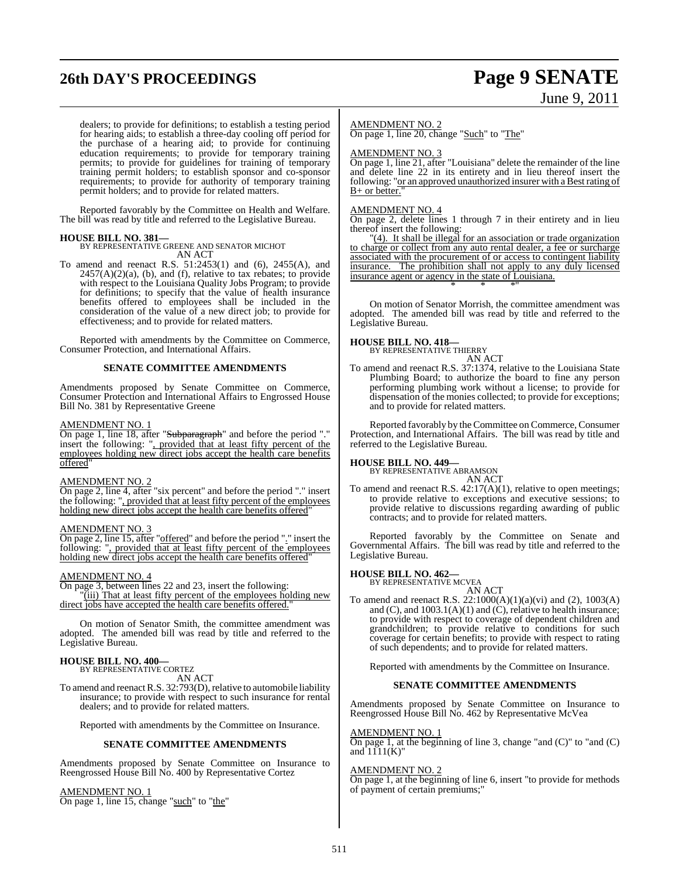# **26th DAY'S PROCEEDINGS Page 9 SENATE**

# June 9, 2011

dealers; to provide for definitions; to establish a testing period for hearing aids; to establish a three-day cooling off period for the purchase of a hearing aid; to provide for continuing education requirements; to provide for temporary training permits; to provide for guidelines for training of temporary training permit holders; to establish sponsor and co-sponsor requirements; to provide for authority of temporary training permit holders; and to provide for related matters.

Reported favorably by the Committee on Health and Welfare. The bill was read by title and referred to the Legislative Bureau.

#### **HOUSE BILL NO. 381—**

BY REPRESENTATIVE GREENE AND SENATOR MICHOT AN ACT

To amend and reenact R.S. 51:2453(1) and (6), 2455(A), and  $2457(A)(2)(a)$ , (b), and (f), relative to tax rebates; to provide with respect to the Louisiana Quality Jobs Program; to provide for definitions; to specify that the value of health insurance benefits offered to employees shall be included in the consideration of the value of a new direct job; to provide for effectiveness; and to provide for related matters.

Reported with amendments by the Committee on Commerce, Consumer Protection, and International Affairs.

#### **SENATE COMMITTEE AMENDMENTS**

Amendments proposed by Senate Committee on Commerce, Consumer Protection and International Affairs to Engrossed House Bill No. 381 by Representative Greene

#### AMENDMENT NO. 1

On page 1, line 18, after "Subparagraph" and before the period "." insert the following: ", provided that at least fifty percent of the employees holding new direct jobs accept the health care benefits offered"

#### AMENDMENT NO. 2

On page 2, line 4, after "six percent" and before the period "." insert the following: ", provided that at least fifty percent of the employees holding new direct jobs accept the health care benefits offered"

#### AMENDMENT NO. 3

On page 2, line 15, after "offered" and before the period "." insert the following: ", provided that at least fifty percent of the employees holding new direct jobs accept the health care benefits offered"

#### AMENDMENT NO. 4

On page 3, between lines 22 and 23, insert the following: "(iii) That at least fifty percent of the employees holding new direct jobs have accepted the health care benefits offered.

On motion of Senator Smith, the committee amendment was adopted. The amended bill was read by title and referred to the Legislative Bureau.

## **HOUSE BILL NO. 400—** BY REPRESENTATIVE CORTEZ

AN ACT

To amend and reenact R.S. 32:793(D), relative to automobile liability insurance; to provide with respect to such insurance for rental dealers; and to provide for related matters.

Reported with amendments by the Committee on Insurance.

#### **SENATE COMMITTEE AMENDMENTS**

Amendments proposed by Senate Committee on Insurance to Reengrossed House Bill No. 400 by Representative Cortez

AMENDMENT NO. 1 On page 1, line 15, change "such" to "the"

#### AMENDMENT NO. 2

On page 1, line 20, change "Such" to "The"

#### AMENDMENT NO. 3

On page 1, line 21, after "Louisiana" delete the remainder of the line and delete line 22 in its entirety and in lieu thereof insert the following: "or an approved unauthorized insurer with a Best rating of B+ or better."

#### AMENDMENT NO. 4

On page 2, delete lines 1 through 7 in their entirety and in lieu thereof insert the following:

"(4). It shall be illegal for an association or trade organization to charge or collect from any auto rental dealer, a fee or surcharge associated with the procurement of or access to contingent liability insurance. The prohibition shall not apply to any duly licensed insurance agent or agency in the state of Louisiana. \* \* \*"

On motion of Senator Morrish, the committee amendment was adopted. The amended bill was read by title and referred to the Legislative Bureau.

#### **HOUSE BILL NO. 418—**

BY REPRESENTATIVE THIERRY AN ACT

To amend and reenact R.S. 37:1374, relative to the Louisiana State Plumbing Board; to authorize the board to fine any person performing plumbing work without a license; to provide for dispensation of the monies collected; to provide for exceptions; and to provide for related matters.

Reported favorably by the Committee on Commerce, Consumer Protection, and International Affairs. The bill was read by title and referred to the Legislative Bureau.

#### **HOUSE BILL NO. 449—**

BY REPRESENTATIVE ABRAMSON AN ACT

To amend and reenact R.S. 42:17(A)(1), relative to open meetings; to provide relative to exceptions and executive sessions; to provide relative to discussions regarding awarding of public contracts; and to provide for related matters.

Reported favorably by the Committee on Senate and Governmental Affairs. The bill was read by title and referred to the Legislative Bureau.

## **HOUSE BILL NO. 462—** BY REPRESENTATIVE MCVEA

AN ACT To amend and reenact R.S. 22:1000(A)(1)(a)(vi) and (2), 1003(A) and (C), and 1003.1(A)(1) and (C), relative to health insurance; to provide with respect to coverage of dependent children and grandchildren; to provide relative to conditions for such coverage for certain benefits; to provide with respect to rating of such dependents; and to provide for related matters.

Reported with amendments by the Committee on Insurance.

#### **SENATE COMMITTEE AMENDMENTS**

Amendments proposed by Senate Committee on Insurance to Reengrossed House Bill No. 462 by Representative McVea

#### AMENDMENT NO. 1

On page 1, at the beginning of line 3, change "and (C)" to "and (C) and  $1111(K)$ "

### AMENDMENT NO. 2

On page 1, at the beginning of line 6, insert "to provide for methods of payment of certain premiums;"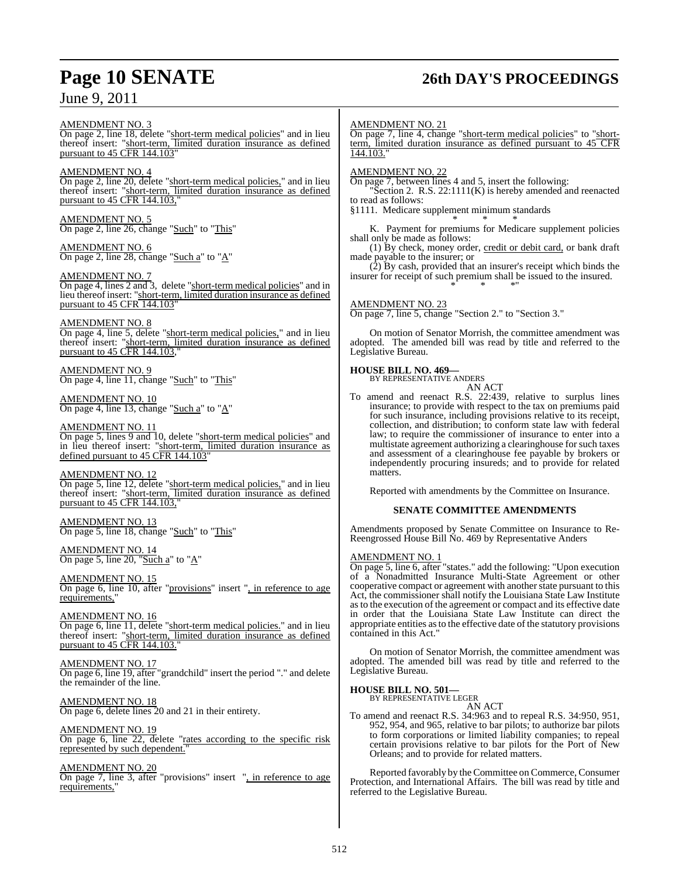## **Page 10 SENATE 26th DAY'S PROCEEDINGS**

June 9, 2011

#### AMENDMENT NO. 3

On page 2, line 18, delete "short-term medical policies" and in lieu thereof insert: "short-term, limited duration insurance as defined pursuant to 45 CFR 144.103

#### AMENDMENT NO. 4

On page 2, line 20, delete "short-term medical policies," and in lieu thereof insert: "short-term, limited duration insurance as defined pursuant to  $45 \overline{CFR}$  144.103,

AMENDMENT NO. 5 On page 2, line 26, change "Such" to "This"

#### AMENDMENT NO. 6 On page 2, line 28, change "Such a" to "A"

#### AMENDMENT NO. 7

On page 4, lines 2 and 3, delete "short-term medical policies" and in lieu thereof insert: "short-term, limited duration insurance as defined pursuant to 45 CFR 144.103"

#### AMENDMENT NO. 8

On page 4, line 5, delete "short-term medical policies," and in lieu thereof insert: "short-term, limited duration insurance as defined pursuant to 45 CFR 144.103,"

#### AMENDMENT NO. 9 On page 4, line 11, change "Such" to "This"

AMENDMENT NO. 10 On page 4, line 13, change "Such  $a$ " to " $A$ "

#### AMENDMENT NO. 11

On page 5, lines 9 and 10, delete "short-term medical policies" and in lieu thereof insert: "short-term, limited duration insurance as defined pursuant to 45 CFR 144.103"

#### AMENDMENT NO. 12

On page 5, line 12, delete "short-term medical policies," and in lieu thereof insert: "short-term, limited duration insurance as defined pursuant to 45 CFR 144.103,"

AMENDMENT NO. 13 On page 5, line 18, change "Such" to "This"

AMENDMENT NO. 14 On page 5, line 20, "Such a" to "A"

#### AMENDMENT NO. 15 On page 6, line 10, after "provisions" insert ", in reference to age requirements,"

AMENDMENT NO. 16 On page 6, line 11, delete "short-term medical policies." and in lieu thereof insert: "short-term, limited duration insurance as defined pursuant to  $45 \overline{\text{CFR}}$  144.103.

#### AMENDMENT NO. 17 On page 6, line 19, after "grandchild" insert the period "." and delete the remainder of the line.

AMENDMENT NO. 18 On page 6, delete lines 20 and 21 in their entirety.

#### AMENDMENT NO. 19 On page 6, line 22, delete "rates according to the specific risk represented by such dependent."

## AMENDMENT NO. 20

On page 7, line 3, after "provisions" insert ", in reference to age requirements,

#### AMENDMENT NO. 21

On page 7, line 4, change "short-term medical policies" to "shortterm, limited duration insurance as defined pursuant to 45 CFR 144.103."

#### AMENDMENT NO. 22

On page 7, between lines 4 and 5, insert the following: "Section 2. R.S. 22:1111(K) is hereby amended and reenacted

to read as follows: §1111. Medicare supplement minimum standards

\* \* \* K. Payment for premiums for Medicare supplement policies shall only be made as follows:

(1) By check, money order, credit or debit card, or bank draft made payable to the insurer; or

(2) By cash, provided that an insurer's receipt which binds the insurer for receipt of such premium shall be issued to the insured. \* \* \*"

#### AMENDMENT NO. 23

On page 7, line 5, change "Section 2." to "Section 3."

On motion of Senator Morrish, the committee amendment was adopted. The amended bill was read by title and referred to the Legislative Bureau.

# **HOUSE BILL NO. 469—** BY REPRESENTATIVE ANDERS

AN ACT

To amend and reenact R.S. 22:439, relative to surplus lines insurance; to provide with respect to the tax on premiums paid for such insurance, including provisions relative to its receipt, collection, and distribution; to conform state law with federal law; to require the commissioner of insurance to enter into a multistate agreement authorizing a clearinghouse for such taxes and assessment of a clearinghouse fee payable by brokers or independently procuring insureds; and to provide for related matters.

Reported with amendments by the Committee on Insurance.

#### **SENATE COMMITTEE AMENDMENTS**

Amendments proposed by Senate Committee on Insurance to Re-Reengrossed House Bill No. 469 by Representative Anders

#### AMENDMENT NO. 1

On page 5, line 6, after "states." add the following: "Upon execution of a Nonadmitted Insurance Multi-State Agreement or other cooperative compact or agreement with another state pursuant to this Act, the commissioner shall notify the Louisiana State Law Institute asto the execution of the agreement or compact and its effective date in order that the Louisiana State Law Institute can direct the appropriate entities asto the effective date of the statutory provisions contained in this Act."

On motion of Senator Morrish, the committee amendment was adopted. The amended bill was read by title and referred to the Legislative Bureau.

## **HOUSE BILL NO. 501—** BY REPRESENTATIVE LEGER

AN ACT

To amend and reenact R.S. 34:963 and to repeal R.S. 34:950, 951, 952, 954, and 965, relative to bar pilots; to authorize bar pilots to form corporations or limited liability companies; to repeal certain provisions relative to bar pilots for the Port of New Orleans; and to provide for related matters.

Reported favorably by the Committee on Commerce, Consumer Protection, and International Affairs. The bill was read by title and referred to the Legislative Bureau.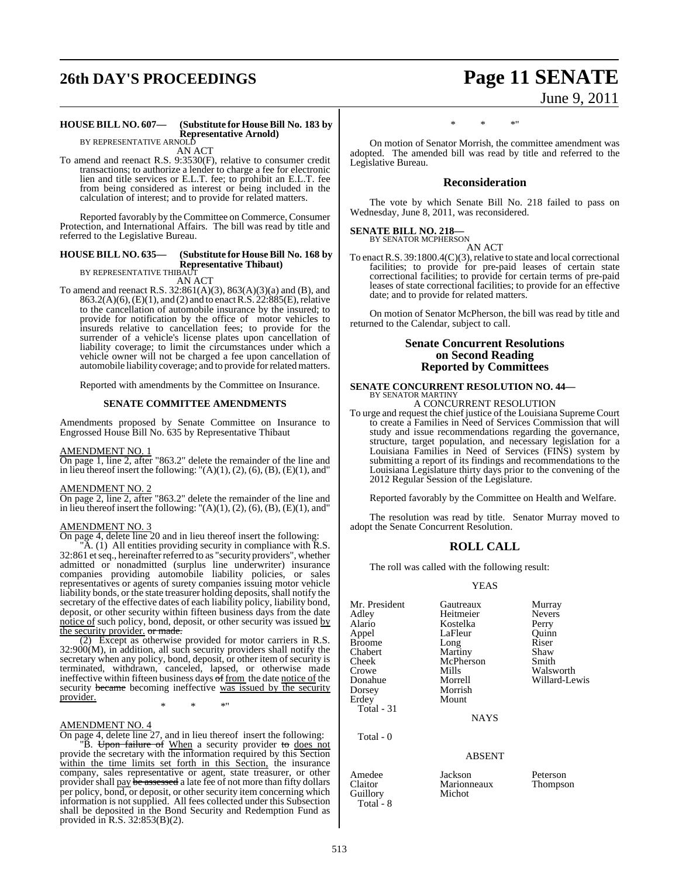# **26th DAY'S PROCEEDINGS Page 11 SENATE**

## June 9, 2011

#### **HOUSE BILL NO. 607— (Substitute for HouseBill No. 183 by Representative Arnold)** BY REPRESENTATIVE ARNOLD

AN ACT

To amend and reenact R.S. 9:3530(F), relative to consumer credit transactions; to authorize a lender to charge a fee for electronic lien and title services or E.L.T. fee; to prohibit an E.L.T. fee from being considered as interest or being included in the calculation of interest; and to provide for related matters.

Reported favorably by the Committee on Commerce, Consumer Protection, and International Affairs. The bill was read by title and referred to the Legislative Bureau.

#### **HOUSE BILL NO. 635— (Substitute for HouseBill No. 168 by Representative Thibaut)**

BY REPRESENTATIVE THIBAUT AN ACT

To amend and reenact R.S. 32:861(A)(3), 863(A)(3)(a) and (B), and 863.2(A)(6),(E)(1), and (2) and to enact R.S. 22:885(E), relative to the cancellation of automobile insurance by the insured; to provide for notification by the office of motor vehicles to insureds relative to cancellation fees; to provide for the surrender of a vehicle's license plates upon cancellation of liability coverage; to limit the circumstances under which a vehicle owner will not be charged a fee upon cancellation of automobile liability coverage; and to provide forrelated matters.

Reported with amendments by the Committee on Insurance.

#### **SENATE COMMITTEE AMENDMENTS**

Amendments proposed by Senate Committee on Insurance to Engrossed House Bill No. 635 by Representative Thibaut

#### AMENDMENT NO. 1

On page 1, line 2, after "863.2" delete the remainder of the line and in lieu thereof insert the following: " $(A)(1)$ ,  $(2)$ ,  $(6)$ ,  $(B)$ ,  $(E)(1)$ , and"

#### AMENDMENT NO. 2

On page 2, line 2, after "863.2" delete the remainder of the line and in lieu thereof insert the following: " $(A)(1)$ ,  $(2)$ ,  $(6)$ ,  $(B)$ ,  $(E)(1)$ , and"

#### AMENDMENT NO. 3

On page 4, delete line 20 and in lieu thereof insert the following:

"A. (1) All entities providing security in compliance with R.S. 32:861 et seq., hereinafter referred to as "security providers", whether admitted or nonadmitted (surplus line underwriter) insurance companies providing automobile liability policies, or sales representatives or agents of surety companies issuing motor vehicle liability bonds, or the state treasurer holding deposits, shall notify the secretary of the effective dates of each liability policy, liability bond, deposit, or other security within fifteen business days from the date notice of such policy, bond, deposit, or other security was issued by the security provider. or made.

(2) Except as otherwise provided for motor carriers in R.S. 32:900(M), in addition, all such security providers shall notify the secretary when any policy, bond, deposit, or other item of security is terminated, withdrawn, canceled, lapsed, or otherwise made ineffective within fifteen business days of from the date notice of the security became becoming ineffective was issued by the security provider.

\* \* \*"

#### AMENDMENT NO. 4

On page 4, delete line 27, and in lieu thereof insert the following:

"B. Upon failure of When a security provider to does not provide the secretary with the information required by this Section within the time limits set forth in this Section, the insurance company, sales representative or agent, state treasurer, or other provider shall <u>pay</u> be assessed a late fee of not more than fifty dollars per policy, bond, or deposit, or other security item concerning which information is not supplied. All fees collected under this Subsection shall be deposited in the Bond Security and Redemption Fund as provided in R.S. 32:853(B)(2).

### \* \* \*"

On motion of Senator Morrish, the committee amendment was adopted. The amended bill was read by title and referred to the Legislative Bureau.

#### **Reconsideration**

The vote by which Senate Bill No. 218 failed to pass on Wednesday, June 8, 2011, was reconsidered.

#### **SENATE BILL NO. 218—**

BY SENATOR MCPHERSON AN ACT

To enact R.S.  $39:1800.4(C)(3)$ , relative to state and local correctional facilities; to provide for pre-paid leases of certain state correctional facilities; to provide for certain terms of pre-paid leases of state correctional facilities; to provide for an effective date; and to provide for related matters.

On motion of Senator McPherson, the bill was read by title and returned to the Calendar, subject to call.

#### **Senate Concurrent Resolutions on Second Reading Reported by Committees**

## **SENATE CONCURRENT RESOLUTION NO. 44—** BY SENATOR MARTINY

A CONCURRENT RESOLUTION

To urge and request the chief justice of the Louisiana Supreme Court to create a Families in Need of Services Commission that will study and issue recommendations regarding the governance, structure, target population, and necessary legislation for a Louisiana Families in Need of Services (FINS) system by submitting a report of its findings and recommendations to the Louisiana Legislature thirty days prior to the convening of the 2012 Regular Session of the Legislature.

Reported favorably by the Committee on Health and Welfare.

The resolution was read by title. Senator Murray moved to adopt the Senate Concurrent Resolution.

#### **ROLL CALL**

The roll was called with the following result:

#### YEAS

| Mr. President | Gautreaux | Murray        |
|---------------|-----------|---------------|
| Adley         | Heitmeier | <b>Nevers</b> |
| Alario        | Kostelka  | Perry         |
| Appel         | LaFleur   | Ouinn         |
| <b>Broome</b> | Long      | Riser         |
| Chabert       | Martiny   | Shaw          |
| Cheek         | McPherson | Smith         |
| Crowe         | Mills     | Walsworth     |
| Donahue       | Morrell   | Willard-Lewis |
| Dorsey        | Morrish   |               |
| Erdev         | Mount     |               |

Total - 31

Total - 0

Guillory Total - 8

Gautreaux Murray<br>
Heitmeier Nevers Heitmeier Never<br>Kostelka Perry Kostelka LaFleur Quinn<br>Long Riser Long Riser<br>
Martiny Shaw Martiny Shaw<br>
McPherson Smith Mills Walsworth<br>
Morrell Willard-Ley Morrish **Mount** 

**NAYS** 

#### ABSENT

Amedee Jackson Peterson<br>Claitor Marionneaux Thompson Marionneaux<br>Michot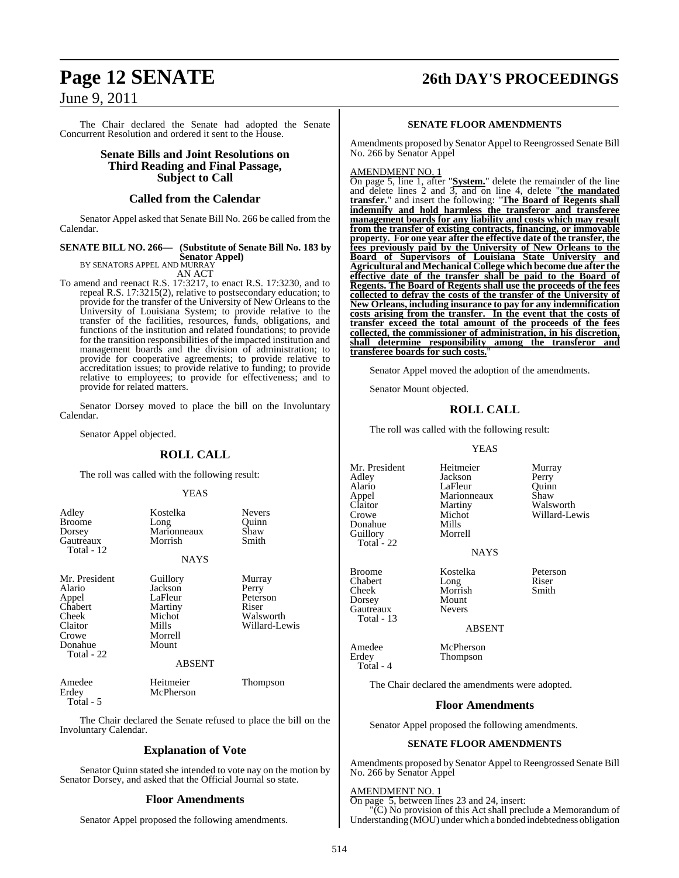## June 9, 2011

The Chair declared the Senate had adopted the Senate Concurrent Resolution and ordered it sent to the House.

#### **Senate Bills and Joint Resolutions on Third Reading and Final Passage, Subject to Call**

#### **Called from the Calendar**

Senator Appel asked that Senate Bill No. 266 be called from the Calendar.

#### **SENATE BILL NO. 266— (Substitute of Senate Bill No. 183 by Senator Appel)** BY SENATORS APPEL AND MURRAY

AN ACT

To amend and reenact R.S. 17:3217, to enact R.S. 17:3230, and to repeal R.S. 17:3215(2), relative to postsecondary education; to provide for the transfer of the University of New Orleans to the University of Louisiana System; to provide relative to the transfer of the facilities, resources, funds, obligations, and functions of the institution and related foundations; to provide for the transition responsibilities of the impacted institution and management boards and the division of administration; to provide for cooperative agreements; to provide relative to accreditation issues; to provide relative to funding; to provide relative to employees; to provide for effectiveness; and to provide for related matters.

Senator Dorsey moved to place the bill on the Involuntary Calendar.

Senator Appel objected.

#### **ROLL CALL**

The roll was called with the following result:

#### YEAS

| Adley<br><b>Broome</b><br>Dorsey<br>Gautreaux<br>Total - 12                                       | Kostelka<br>Long<br>Marionneaux<br>Morrish<br><b>NAYS</b>                                         | <b>Nevers</b><br>Ouinn<br>Shaw<br>Smith                            |
|---------------------------------------------------------------------------------------------------|---------------------------------------------------------------------------------------------------|--------------------------------------------------------------------|
| Mr. President<br>Alario<br>Appel<br>Chabert<br>Cheek<br>Claitor<br>Crowe<br>Donahue<br>Total - 22 | Guillory<br>Jackson<br>LaFleur<br>Martiny<br>Michot<br>Mills<br>Morrell<br>Mount<br><b>ABSENT</b> | Murray<br>Perry<br>Peterson<br>Riser<br>Walsworth<br>Willard-Lewis |
| Amedee<br>Erdey                                                                                   | Heitmeier<br>McPherson                                                                            | Thompson                                                           |

Total - 5

The Chair declared the Senate refused to place the bill on the Involuntary Calendar.

### **Explanation of Vote**

Senator Quinn stated she intended to vote nay on the motion by Senator Dorsey, and asked that the Official Journal so state.

#### **Floor Amendments**

Senator Appel proposed the following amendments.

## **Page 12 SENATE 26th DAY'S PROCEEDINGS**

#### **SENATE FLOOR AMENDMENTS**

Amendments proposed by Senator Appel to Reengrossed Senate Bill No. 266 by Senator Appel

AMENDMENT NO. 1

On page 5, line 1, after "**System.**" delete the remainder of the line and delete lines 2 and 3, and on line 4, delete "**the mandated transfer.**" and insert the following: "**The Board of Regents shall indemnify and hold harmless the transferor and transferee management boards for any liability and costs which may result from the transfer of existing contracts, financing, or immovable property. For one year after the effective date of the transfer, the fees previously paid by the University of New Orleans to the Board of Supervisors of Louisiana State University and Agricultural and Mechanical College which become due after the effective date of the transfer shall be paid to the Board of Regents. The Board of Regents shall use the proceeds of the fees collected to defray the costs of the transfer of the University of New Orleans, including insurance to pay for any indemnification costs arising from the transfer. In the event that the costs of transfer exceed the total amount of the proceeds of the fees collected, the commissioner of administration, in his discretion, shall determine responsibility among the transferor and transferee boards for such costs.**"

Senator Appel moved the adoption of the amendments.

Senator Mount objected.

### **ROLL CALL**

The roll was called with the following result:

#### YEAS

Mr. President Heitmeier Murray<br>Adley Jackson Perry Adley Jackson Perry Appel Marionneaux Shaw<br>Claitor Martiny Walsy Claitor Martiny Walsworth<br>Crowe Michot Willard-Le Donahue Mills<br>
Guillorv Morrell Guillory Total<sup>-</sup> 22

Gautreaux Total - 13

Total - 4

LaFleur Michot Willard-Lewis<br>Mills

NAYS

Broome Kostelka Peterson<br>Chabert Long Riser Chabert Long Riser<br>
Cheek Morrish Smith

ABSENT

Amedee McPherson<br>Erdey Thompson **Thompson** 

Morrish<br>Mount

Dorsey Mount<br>
Gautreaux Nevers

The Chair declared the amendments were adopted.

#### **Floor Amendments**

Senator Appel proposed the following amendments.

#### **SENATE FLOOR AMENDMENTS**

Amendments proposed by Senator Appel to Reengrossed Senate Bill No. 266 by Senator Appel

#### AMENDMENT NO. 1

On page 5, between lines 23 and 24, insert:

"(C) No provision of this Act shall preclude a Memorandum of Understanding (MOU) under which a bonded indebtedness obligation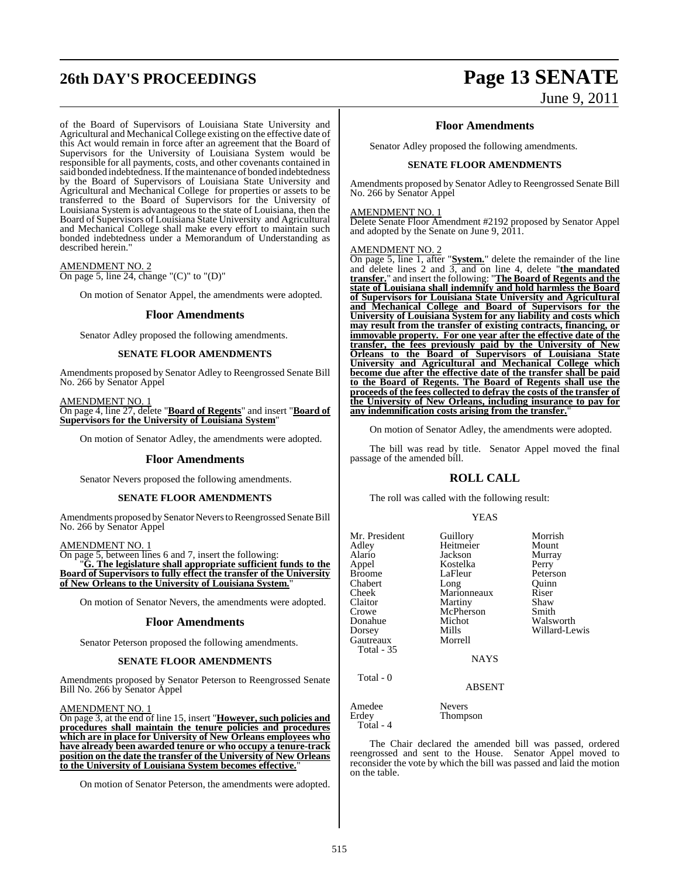# **26th DAY'S PROCEEDINGS Page 13 SENATE**

#### of the Board of Supervisors of Louisiana State University and Agricultural and Mechanical College existing on the effective date of this Act would remain in force after an agreement that the Board of Supervisors for the University of Louisiana System would be responsible for all payments, costs, and other covenants contained in said bonded indebtedness.If the maintenance of bonded indebtedness by the Board of Supervisors of Louisiana State University and Agricultural and Mechanical College for properties or assets to be transferred to the Board of Supervisors for the University of Louisiana System is advantageous to the state of Louisiana, then the Board of Supervisors of Louisiana State University and Agricultural and Mechanical College shall make every effort to maintain such bonded indebtedness under a Memorandum of Understanding as described herein."

AMENDMENT NO. 2 On page 5, line 24, change "(C)" to "(D)"

On motion of Senator Appel, the amendments were adopted.

#### **Floor Amendments**

Senator Adley proposed the following amendments.

#### **SENATE FLOOR AMENDMENTS**

Amendments proposed by Senator Adley to Reengrossed Senate Bill No. 266 by Senator Appel

AMENDMENT NO. 1 On page 4, line 27, delete "**Board of Regents**" and insert "**Board of Supervisors for the University of Louisiana System**"

On motion of Senator Adley, the amendments were adopted.

#### **Floor Amendments**

Senator Nevers proposed the following amendments.

#### **SENATE FLOOR AMENDMENTS**

Amendments proposed by Senator Nevers to Reengrossed Senate Bill No. 266 by Senator Appel

#### AMENDMENT NO. 1

On page 5, between lines 6 and 7, insert the following: "**G. The legislature shall appropriate sufficient funds to the Board of Supervisors to fully effect the transfer of the University of New Orleans to the University of Louisiana System.**"

On motion of Senator Nevers, the amendments were adopted.

#### **Floor Amendments**

Senator Peterson proposed the following amendments.

#### **SENATE FLOOR AMENDMENTS**

Amendments proposed by Senator Peterson to Reengrossed Senate Bill No. 266 by Senator Appel

#### AMENDMENT NO. 1

On page 3, at the end of line 15, insert "**However, such policies and procedures shall maintain the tenure policies and procedures which are in place for University of New Orleans employees who have already been awarded tenure or who occupy a tenure-track position on the date the transfer of the University of New Orleans to the University of Louisiana System becomes effective.**"

On motion of Senator Peterson, the amendments were adopted.

# June 9, 2011

#### **Floor Amendments**

Senator Adley proposed the following amendments.

#### **SENATE FLOOR AMENDMENTS**

Amendments proposed by Senator Adley to Reengrossed Senate Bill No. 266 by Senator Appel

#### AMENDMENT NO. 1

Delete Senate Floor Amendment #2192 proposed by Senator Appel and adopted by the Senate on June 9, 2011.

#### AMENDMENT NO. 2

On page 5, line 1, after "**System.**" delete the remainder of the line and delete lines 2 and 3, and on line 4, delete "**the mandated transfer.**" and insert the following: "**The Board of Regents and the state of Louisiana shall indemnify and hold harmless the Board of Supervisors for Louisiana State University and Agricultural and Mechanical College and Board of Supervisors for the University of Louisiana System for any liability and costs which may result from the transfer of existing contracts, financing, or immovable property. For one year after the effective date of the transfer, the fees previously paid by the University of New Orleans to the Board of Supervisors of Louisiana State University and Agricultural and Mechanical College which become due after the effective date of the transfer shall be paid to the Board of Regents. The Board of Regents shall use the proceeds of the fees collected to defray the costs of the transfer of the University of New Orleans, including insurance to pay for any indemnification costs arising from the transfer.**"

On motion of Senator Adley, the amendments were adopted.

The bill was read by title. Senator Appel moved the final passage of the amended bill.

#### **ROLL CALL**

The roll was called with the following result:

#### YEAS

| Mr. President<br>Adley<br>Alario<br>Appel<br><b>Broome</b><br>Chabert<br>Cheek<br>Claitor<br>Crowe<br>Donahue<br>Dorsey<br>Gautreaux<br>Total - 35<br>Total - 0 | Guillory<br>Heitmeier<br>Jackson<br>Kostelka<br>LaFleur<br>Long<br>Marionneaux<br>Martiny<br>McPherson<br>Michot<br>Mills<br>Morrell<br><b>NAYS</b><br>ABSENT | Morrish<br>Mount<br>Murray<br>Perry<br>Peterson<br>Ouinn<br>Riser<br>Shaw<br>Smith<br>Walsworth<br>Willard-Lewis |
|-----------------------------------------------------------------------------------------------------------------------------------------------------------------|---------------------------------------------------------------------------------------------------------------------------------------------------------------|------------------------------------------------------------------------------------------------------------------|
|                                                                                                                                                                 |                                                                                                                                                               |                                                                                                                  |
| Amedee<br>Erdey<br>Total - 4                                                                                                                                    | <b>Nevers</b><br><b>Thompson</b>                                                                                                                              |                                                                                                                  |

The Chair declared the amended bill was passed, ordered reengrossed and sent to the House. Senator Appel moved to reconsider the vote by which the bill was passed and laid the motion on the table.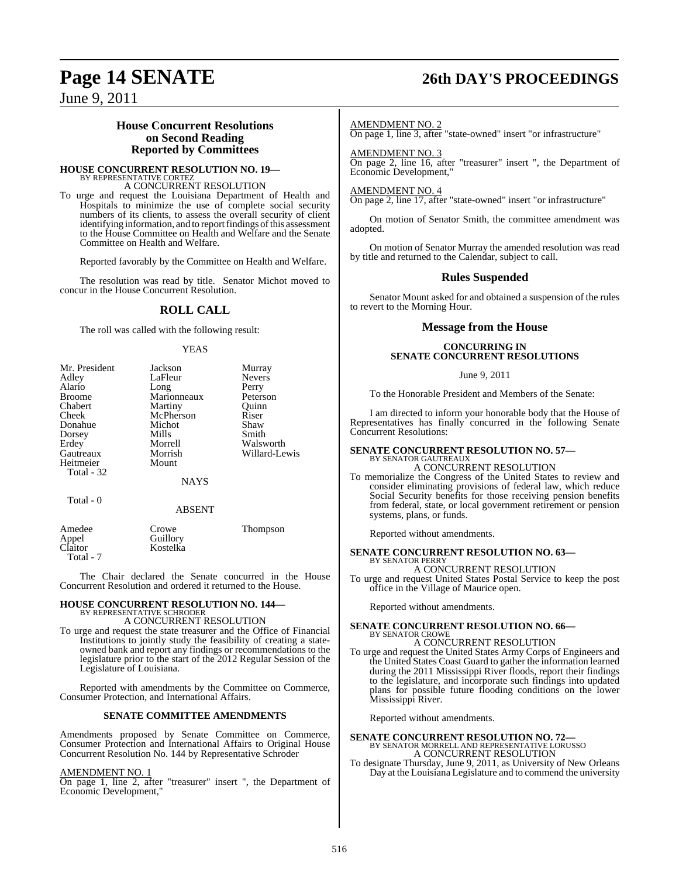## **Page 14 SENATE 26th DAY'S PROCEEDINGS**

June 9, 2011

#### **House Concurrent Resolutions on Second Reading Reported by Committees**

#### **HOUSE CONCURRENT RESOLUTION NO. 19—** BY REPRESENTATIVE CORTEZ A CONCURRENT RESOLUTION

To urge and request the Louisiana Department of Health and Hospitals to minimize the use of complete social security numbers of its clients, to assess the overall security of client identifying information, and to report findings of this assessment to the House Committee on Health and Welfare and the Senate Committee on Health and Welfare.

Reported favorably by the Committee on Health and Welfare.

The resolution was read by title. Senator Michot moved to concur in the House Concurrent Resolution.

### **ROLL CALL**

The roll was called with the following result:

#### YEAS

| Mr. President | Jackson     | Murray        |
|---------------|-------------|---------------|
| Adley         | LaFleur     | <b>Nevers</b> |
| Alario        | Long        | Perry         |
| <b>Broome</b> | Marionneaux | Peterson      |
| Chabert       | Martiny     | Ouinn         |
| Cheek         | McPherson   | Riser         |
| Donahue       | Michot      | Shaw          |
| Dorsey        | Mills       | Smith         |
| Erdey         | Morrell     | Walsworth     |
| Gautreaux     | Morrish     | Willard-Lewis |
| Heitmeier     | Mount       |               |
| Total - 32    |             |               |
|               | <b>NAYS</b> |               |
| Total - 0     |             |               |

#### ABSENT

| Amedee           | Crowe    | Thompson |
|------------------|----------|----------|
| Appel<br>Claitor | Guillory |          |
|                  | Kostelka |          |
| Total - 7        |          |          |

The Chair declared the Senate concurred in the House Concurrent Resolution and ordered it returned to the House.

#### **HOUSE CONCURRENT RESOLUTION NO. 144—** BY REPRESENTATIVE SCHRODER

#### A CONCURRENT RESOLUTION

To urge and request the state treasurer and the Office of Financial Institutions to jointly study the feasibility of creating a stateowned bank and report any findings or recommendations to the legislature prior to the start of the 2012 Regular Session of the Legislature of Louisiana.

Reported with amendments by the Committee on Commerce, Consumer Protection, and International Affairs.

#### **SENATE COMMITTEE AMENDMENTS**

Amendments proposed by Senate Committee on Commerce, Consumer Protection and International Affairs to Original House Concurrent Resolution No. 144 by Representative Schroder

#### AMENDMENT NO. 1

On page 1, line 2, after "treasurer" insert ", the Department of Economic Development,"

#### AMENDMENT NO. 2

On page 1, line 3, after "state-owned" insert "or infrastructure"

AMENDMENT NO. 3 On page 2, line 16, after "treasurer" insert ", the Department of Economic Development,"

#### AMENDMENT NO. 4

On page 2, line 17, after "state-owned" insert "or infrastructure"

On motion of Senator Smith, the committee amendment was adopted.

On motion of Senator Murray the amended resolution was read by title and returned to the Calendar, subject to call.

#### **Rules Suspended**

Senator Mount asked for and obtained a suspension of the rules to revert to the Morning Hour.

#### **Message from the House**

#### **CONCURRING IN SENATE CONCURRENT RESOLUTIONS**

#### June 9, 2011

To the Honorable President and Members of the Senate:

I am directed to inform your honorable body that the House of Representatives has finally concurred in the following Senate Concurrent Resolutions:

#### **SENATE CONCURRENT RESOLUTION NO. 57—** BY SENATOR GAUTREAU A CONCURRENT RESOLUTION

To memorialize the Congress of the United States to review and consider eliminating provisions of federal law, which reduce Social Security benefits for those receiving pension benefits from federal, state, or local government retirement or pension systems, plans, or funds.

Reported without amendments.

#### **SENATE CONCURRENT RESOLUTION NO. 63—** BY SENATOR PERRY

### A CONCURRENT RESOLUTION

To urge and request United States Postal Service to keep the post office in the Village of Maurice open.

Reported without amendments.

#### **SENATE CONCURRENT RESOLUTION NO. 66—** BY SENATOR CROWE

#### A CONCURRENT RESOLUTION

To urge and request the United States Army Corps of Engineers and the United States Coast Guard to gather the information learned during the 2011 Mississippi River floods, report their findings to the legislature, and incorporate such findings into updated plans for possible future flooding conditions on the lower Mississippi River.

Reported without amendments.

## **SENATE CONCURRENT RESOLUTION NO. 72—** BY SENATOR MORRELL AND REPRESENTATIVE LORUSSO A CONCURRENT RESOLUTION

To designate Thursday, June 9, 2011, as University of New Orleans Day at the Louisiana Legislature and to commend the university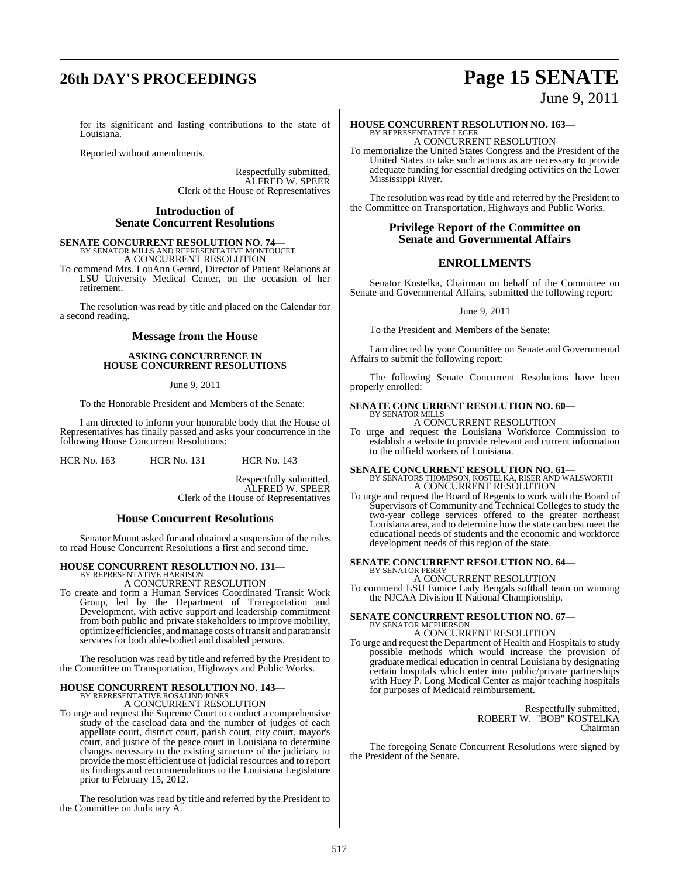## **26th DAY'S PROCEEDINGS Page 15 SENATE**

June 9, 2011

for its significant and lasting contributions to the state of Louisiana.

Reported without amendments.

Respectfully submitted, ALFRED W. SPEER Clerk of the House of Representatives

#### **Introduction of Senate Concurrent Resolutions**

# **SENATE CONCURRENT RESOLUTION NO. 74—**<br>BY SENATOR MILLS AND REPRESENTATIVE MONTOUCET<br>A CONCURRENT RESOLUTION

To commend Mrs. LouAnn Gerard, Director of Patient Relations at LSU University Medical Center, on the occasion of her retirement.

The resolution was read by title and placed on the Calendar for a second reading.

#### **Message from the House**

#### **ASKING CONCURRENCE IN HOUSE CONCURRENT RESOLUTIONS**

June 9, 2011

To the Honorable President and Members of the Senate:

I am directed to inform your honorable body that the House of Representatives has finally passed and asks your concurrence in the following House Concurrent Resolutions:

HCR No. 163 HCR No. 131 HCR No. 143

Respectfully submitted, ALFRED W. SPEER Clerk of the House of Representatives

#### **House Concurrent Resolutions**

Senator Mount asked for and obtained a suspension of the rules to read House Concurrent Resolutions a first and second time.

#### **HOUSE CONCURRENT RESOLUTION NO. 131—**

BY REPRESENTATIVE HARRISON A CONCURRENT RESOLUTION

To create and form a Human Services Coordinated Transit Work Group, led by the Department of Transportation and Development, with active support and leadership commitment from both public and private stakeholders to improve mobility, optimize efficiencies, and manage costs oftransit and paratransit services for both able-bodied and disabled persons.

The resolution was read by title and referred by the President to the Committee on Transportation, Highways and Public Works.

## **HOUSE CONCURRENT RESOLUTION NO. 143—** BY REPRESENTATIVE ROSALIND JONES A CONCURRENT RESOLUTION

To urge and request the Supreme Court to conduct a comprehensive study of the caseload data and the number of judges of each appellate court, district court, parish court, city court, mayor's court, and justice of the peace court in Louisiana to determine changes necessary to the existing structure of the judiciary to provide the most efficient use of judicial resources and to report its findings and recommendations to the Louisiana Legislature prior to February 15, 2012.

The resolution was read by title and referred by the President to the Committee on Judiciary A.

## **HOUSE CONCURRENT RESOLUTION NO. 163—** BY REPRESENTATIVE LEGER A CONCURRENT RESOLUTION

To memorialize the United States Congress and the President of the United States to take such actions as are necessary to provide adequate funding for essential dredging activities on the Lower Mississippi River.

The resolution was read by title and referred by the President to the Committee on Transportation, Highways and Public Works.

### **Privilege Report of the Committee on Senate and Governmental Affairs**

## **ENROLLMENTS**

Senator Kostelka, Chairman on behalf of the Committee on Senate and Governmental Affairs, submitted the following report:

June 9, 2011

To the President and Members of the Senate:

I am directed by your Committee on Senate and Governmental Affairs to submit the following report:

The following Senate Concurrent Resolutions have been properly enrolled:

#### **SENATE CONCURRENT RESOLUTION NO. 60—** BY SENATOR MILLS

A CONCURRENT RESOLUTION

To urge and request the Louisiana Workforce Commission to establish a website to provide relevant and current information to the oilfield workers of Louisiana.

# **SENATE CONCURRENT RESOLUTION NO. 61—**<br>BY SENATORS THOMPSON, KOSTELKA, RISER AND WALSWORTH A CONCURRENT RESOLUTION

To urge and request the Board of Regents to work with the Board of Supervisors of Community and Technical Colleges to study the two-year college services offered to the greater northeast Louisiana area, and to determine how the state can best meet the educational needs of students and the economic and workforce development needs of this region of the state.

# **SENATE CONCURRENT RESOLUTION NO. 64—** BY SENATOR PERRY

A CONCURRENT RESOLUTION To commend LSU Eunice Lady Bengals softball team on winning the NJCAA Division II National Championship.

#### **SENATE CONCURRENT RESOLUTION NO. 67—** BY SENATOR MCPHERSON

A CONCURRENT RESOLUTION To urge and request the Department of Health and Hospitals to study possible methods which would increase the provision of graduate medical education in central Louisiana by designating certain hospitals which enter into public/private partnerships with Huey P. Long Medical Center as major teaching hospitals for purposes of Medicaid reimbursement.

> Respectfully submitted, ROBERT W. "BOB" KOSTELKA Chairman

The foregoing Senate Concurrent Resolutions were signed by the President of the Senate.